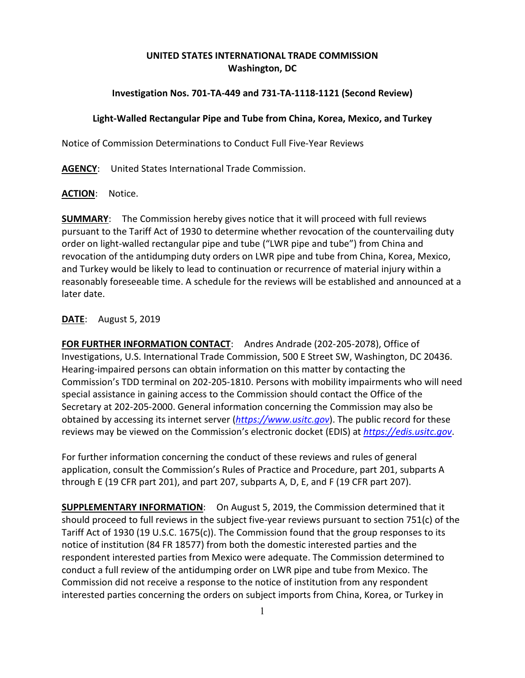# **UNITED STATES INTERNATIONAL TRADE COMMISSION Washington, DC**

# **Investigation Nos. 701-TA-449 and 731-TA-1118-1121 (Second Review)**

## **Light-Walled Rectangular Pipe and Tube from China, Korea, Mexico, and Turkey**

Notice of Commission Determinations to Conduct Full Five-Year Reviews

**AGENCY**: United States International Trade Commission.

### **ACTION**: Notice.

**SUMMARY**: The Commission hereby gives notice that it will proceed with full reviews pursuant to the Tariff Act of 1930 to determine whether revocation of the countervailing duty order on light-walled rectangular pipe and tube ("LWR pipe and tube") from China and revocation of the antidumping duty orders on LWR pipe and tube from China, Korea, Mexico, and Turkey would be likely to lead to continuation or recurrence of material injury within a reasonably foreseeable time. A schedule for the reviews will be established and announced at a later date.

### **DATE**: August 5, 2019

**FOR FURTHER INFORMATION CONTACT**: Andres Andrade (202-205-2078), Office of Investigations, U.S. International Trade Commission, 500 E Street SW, Washington, DC 20436. Hearing-impaired persons can obtain information on this matter by contacting the Commission's TDD terminal on 202-205-1810. Persons with mobility impairments who will need special assistance in gaining access to the Commission should contact the Office of the Secretary at 202-205-2000. General information concerning the Commission may also be obtained by accessing its internet server (*[https://www.usitc.gov](https://www.usitc.gov/)*). The public record for these reviews may be viewed on the Commission's electronic docket (EDIS) at *[https://edis.usitc.gov](https://edis.usitc.gov/)*.

For further information concerning the conduct of these reviews and rules of general application, consult the Commission's Rules of Practice and Procedure, part 201, subparts A through E (19 CFR part 201), and part 207, subparts A, D, E, and F (19 CFR part 207).

**SUPPLEMENTARY INFORMATION**: On August 5, 2019, the Commission determined that it should proceed to full reviews in the subject five-year reviews pursuant to section 751(c) of the Tariff Act of 1930 (19 U.S.C. 1675(c)). The Commission found that the group responses to its notice of institution (84 FR 18577) from both the domestic interested parties and the respondent interested parties from Mexico were adequate. The Commission determined to conduct a full review of the antidumping order on LWR pipe and tube from Mexico. The Commission did not receive a response to the notice of institution from any respondent interested parties concerning the orders on subject imports from China, Korea, or Turkey in